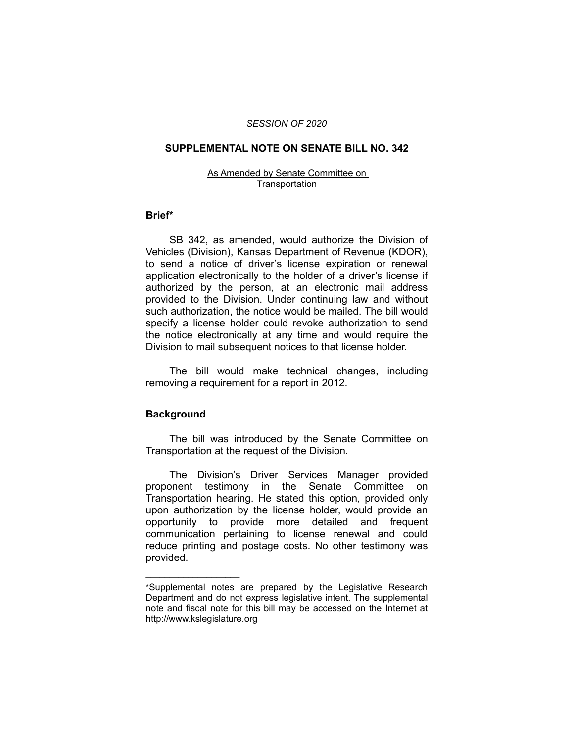## *SESSION OF 2020*

## **SUPPLEMENTAL NOTE ON SENATE BILL NO. 342**

#### As Amended by Senate Committee on **Transportation**

# **Brief\***

SB 342, as amended, would authorize the Division of Vehicles (Division), Kansas Department of Revenue (KDOR), to send a notice of driver's license expiration or renewal application electronically to the holder of a driver's license if authorized by the person, at an electronic mail address provided to the Division. Under continuing law and without such authorization, the notice would be mailed. The bill would specify a license holder could revoke authorization to send the notice electronically at any time and would require the Division to mail subsequent notices to that license holder.

The bill would make technical changes, including removing a requirement for a report in 2012.

# **Background**

 $\overline{\phantom{a}}$  , where  $\overline{\phantom{a}}$  , where  $\overline{\phantom{a}}$ 

The bill was introduced by the Senate Committee on Transportation at the request of the Division.

The Division's Driver Services Manager provided proponent testimony in the Senate Committee on Transportation hearing. He stated this option, provided only upon authorization by the license holder, would provide an opportunity to provide more detailed and frequent communication pertaining to license renewal and could reduce printing and postage costs. No other testimony was provided.

<sup>\*</sup>Supplemental notes are prepared by the Legislative Research Department and do not express legislative intent. The supplemental note and fiscal note for this bill may be accessed on the Internet at http://www.kslegislature.org